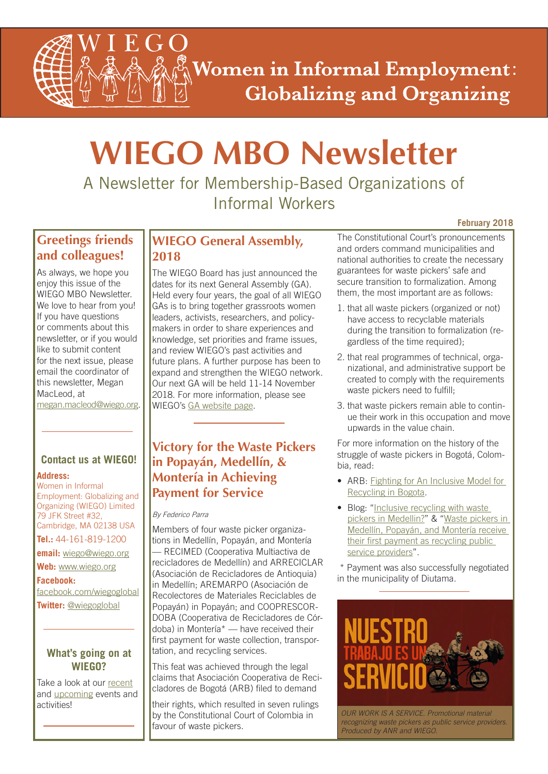**Women in Informal Employment: Globalizing and Organizing** 

# **WIEGO MBO Newsletter**

A Newsletter for Membership-Based Organizations of Informal Workers

## **February 2018**

## **Greetings friends and colleagues!**

As always, we hope you enjoy this issue of the WIEGO MBO Newsletter. We love to hear from you! If you have questions or comments about this newsletter, or if you would like to submit content for the next issue, please email the coordinator of this newsletter, Megan MacLeod, at

megan.macleod@wiego.org.

## **Contact us at WIEGO!**

## **Address:**

Women in Informal Employment: Globalizing and Organizing (WIEGO) Limited 79 JFK Street #32, Cambridge, MA 02138 USA

**Tel.:** 44-161-819-1200

**email:** wiego@wiego.org

**Web:** www.wiego.org

**Facebook:** [facebook.com/wiegoglobal](https://www.facebook.com/wiegoglobal)

**Twitter:** [@wiegoglobal](https://twitter.com/wiegoglobal?lang=en)

## **What's going on at WIEGO?**

Take a look at our [recent](http://www.wiego.org/news-events/archive) and [upcoming](http://www.wiego.org/events) events and activities!

## **WIEGO General Assembly, 2018**

The WIEGO Board has just announced the dates for its next General Assembly (GA). Held every four years, the goal of all WIEGO GAs is to bring together grassroots women leaders, activists, researchers, and policymakers in order to share experiences and knowledge, set priorities and frame issues, and review WIEGO's past activities and future plans. A further purpose has been to expand and strengthen the WIEGO network. Our next GA will be held 11-14 November 2018. For more information, please see WIEGO's [GA website page.](http://www.wiego.org/ga)

## **Victory for the Waste Pickers in Popayán, Medellín, & Montería in Achieving Payment for Service**

## By Federico Parra

Members of four waste picker organizations in Medellín, Popayán, and Montería — RECIMED (Cooperativa Multiactiva de recicladores de Medellín) and ARRECICLAR (Asociación de Recicladores de Antioquia) in Medellín; AREMARPO (Asociación de Recolectores de Materiales Reciclables de Popayán) in Popayán; and COOPRESCOR-DOBA (Cooperativa de Recicladores de Córdoba) in Montería\* — have received their first payment for waste collection, transportation, and recycling services.

This feat was achieved through the legal claims that Asociación Cooperativa de Recicladores de Bogotá (ARB) filed to demand

their rights, which resulted in seven rulings by the Constitutional Court of Colombia in favour of waste pickers.

The Constitutional Court's pronouncements and orders command municipalities and national authorities to create the necessary guarantees for waste pickers' safe and secure transition to formalization. Among them, the most important are as follows:

- 1. that all waste pickers (organized or not) have access to recyclable materials during the transition to formalization (regardless of the time required);
- 2. that real programmes of technical, organizational, and administrative support be created to comply with the requirements waste pickers need to fulfill;
- 3. that waste pickers remain able to continue their work in this occupation and move upwards in the value chain.

For more information on the history of the struggle of waste pickers in Bogotá, Colombia, read:

- [ARB: Fighting for An Inclusive Model for](http://www.wiego.org/resources/arb-fighting-inclusive-model-recycling-bogota) Recycling in Bogota.
- Blog: "Inclusive recycling with waste [pickers in Medellin?" & "Waste pickers in](http://www.wiego.org/blog/waste-pickers-medell%C3%ADn-popay%C3%A1n-and-monter%C3%ADa-receive-their-first-payment-recycling-public-servic)  Medellín, Popayán, and Montería receive their first payment as recycling public service providers".

 \* Payment was also successfully negotiated in the municipality of Diutama.



*OUR WORK IS A SERVICE. Promotional material recognizing waste pickers as public service providers. Produced by ANR and WIEGO.*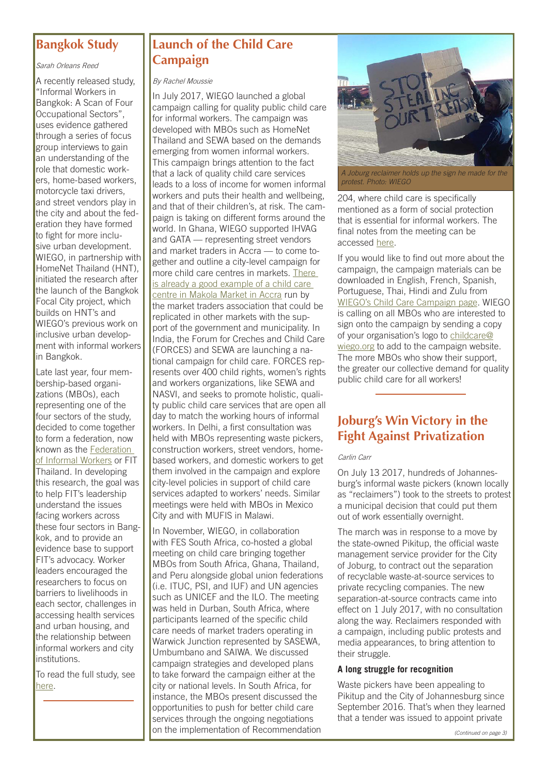## **Bangkok Study**

#### Sarah Orleans Reed

A recently released study, "Informal Workers in Bangkok: A Scan of Four Occupational Sectors", uses evidence gathered through a series of focus group interviews to gain an understanding of the role that domestic workers, home-based workers, motorcycle taxi drivers, and street vendors play in the city and about the federation they have formed to fight for more inclusive urban development. WIEGO, in partnership with HomeNet Thailand (HNT), initiated the research after the launch of the Bangkok Focal City project, which builds on HNT's and WIEGO's previous work on inclusive urban development with informal workers in Bangkok.

Late last year, four membership-based organizations (MBOs), each representing one of the four sectors of the study, decided to come together to form a federation, now [known as the Federation](http://idwfed.org/en/updates/global-idwf-congress-2018)  of Informal Workers or FIT Thailand. In developing this research, the goal was to help FIT's leadership understand the issues facing workers across these four sectors in Bangkok, and to provide an evidence base to support FIT's advocacy. Worker leaders encouraged the researchers to focus on barriers to livelihoods in each sector, challenges in accessing health services and urban housing, and the relationship between informal workers and city institutions.

To read the full study, see [here.](http://www.wiego.org/sites/default/files/resources/files/Reed-Informal-Workers-Bangkok-Thailand-Four-Sectors-Eng.pdf)

# **Launch of the Child Care Campaign**

#### By Rachel Moussie

In July 2017, WIEGO launched a global campaign calling for quality public child care for informal workers. The campaign was developed with MBOs such as HomeNet Thailand and SEWA based on the demands emerging from women informal workers. This campaign brings attention to the fact that a lack of quality child care services leads to a loss of income for women informal workers and puts their health and wellbeing, and that of their children's, at risk. The campaign is taking on different forms around the world. In Ghana, WIEGO supported IHVAG and GATA — representing street vendors and market traders in Accra — to come together and outline a city-level campaign for [more child care centres in markets. There](http://www.wiego.org/sites/default/files/publications/files/Moussie%CC%81-Mobilizing-for-Child-Care.pdf)  is already a good example of a child care centre in Makola Market in Accra run by the market traders association that could be replicated in other markets with the support of the government and municipality. In India, the Forum for Creches and Child Care (FORCES) and SEWA are launching a national campaign for child care. FORCES represents over 400 child rights, women's rights and workers organizations, like SEWA and NASVI, and seeks to promote holistic, quality public child care services that are open all day to match the working hours of informal workers. In Delhi, a first consultation was held with MBOs representing waste pickers, construction workers, street vendors, homebased workers, and domestic workers to get them involved in the campaign and explore city-level policies in support of child care services adapted to workers' needs. Similar meetings were held with MBOs in Mexico City and with MUFIS in Malawi.

In November, WIEGO, in collaboration with FES South Africa, co-hosted a global meeting on child care bringing together MBOs from South Africa, Ghana, Thailand, and Peru alongside global union federations (i.e. ITUC, PSI, and IUF) and UN agencies such as UNICEF and the ILO. The meeting was held in Durban, South Africa, where participants learned of the specific child care needs of market traders operating in Warwick Junction represented by SASEWA, Umbumbano and SAIWA. We discussed campaign strategies and developed plans to take forward the campaign either at the city or national levels. In South Africa, for instance, the MBOs present discussed the opportunities to push for better child care services through the ongoing negotiations on the implementation of Recommendation



204, where child care is specifically mentioned as a form of social protection that is essential for informal workers. The final notes from the meeting can be accessed here.

If you would like to find out more about the campaign, the campaign materials can be downloaded in English, French, Spanish, Portuguese, Thai, Hindi and Zulu from [WIEGO's Child Care Campaign page.](http://www.wiego.org/pillars-social-protection/child-care) WIEGO is calling on all MBOs who are interested to sign onto the campaign by sending a copy [of your organisation's logo to childcare@](childcare@wiego.org) wiego.org to add to the campaign website. The more MBOs who show their support, the greater our collective demand for quality public child care for all workers!

## **Joburg's Win Victory in the Fight Against Privatization**

## Carlin Carr

On July 13 2017, hundreds of Johannesburg's informal waste pickers (known locally as "reclaimers") took to the streets to protest a municipal decision that could put them out of work essentially overnight.

The march was in response to a move by the state-owned Pikitup, the official waste management service provider for the City of Joburg, to contract out the separation of recyclable waste-at-source services to private recycling companies. The new separation-at-source contracts came into effect on 1 July 2017, with no consultation along the way. Reclaimers responded with a campaign, including public protests and media appearances, to bring attention to their struggle.

## **A long struggle for recognition**

Waste pickers have been appealing to Pikitup and the City of Johannesburg since September 2016. That's when they learned that a tender was issued to appoint private